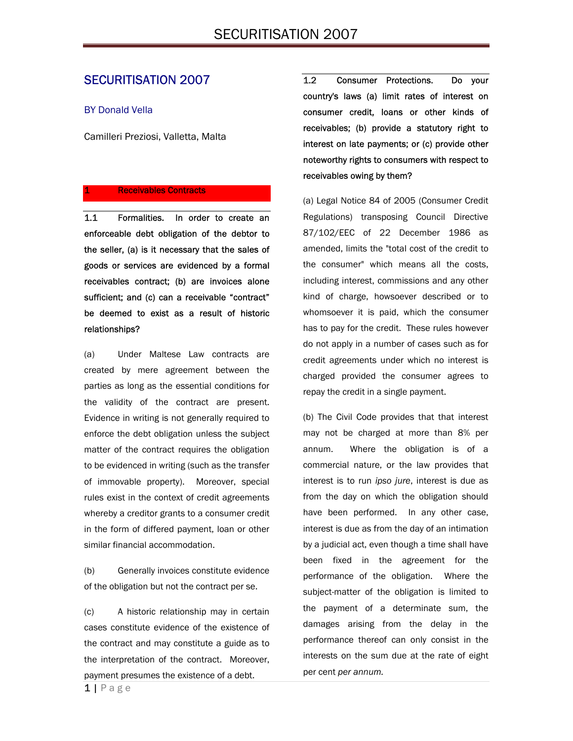### SECURITISATION 2007

#### BY Donald Vella

Camilleri Preziosi, Valletta, Malta

#### **Receivables Contracts**

1.1 Formalities. In order to create an enforceable debt obligation of the debtor to the seller, (a) is it necessary that the sales of goods or services are evidenced by a formal receivables contract; (b) are invoices alone sufficient; and (c) can a receivable "contract" be deemed to exist as a result of historic relationships?

(a) Under Maltese Law contracts are created by mere agreement between the parties as long as the essential conditions for the validity of the contract are present. Evidence in writing is not generally required to enforce the debt obligation unless the subject matter of the contract requires the obligation to be evidenced in writing (such as the transfer of immovable property). Moreover, special rules exist in the context of credit agreements whereby a creditor grants to a consumer credit in the form of differed payment, loan or other similar financial accommodation.

(b) Generally invoices constitute evidence of the obligation but not the contract per se.

(c) A historic relationship may in certain cases constitute evidence of the existence of the contract and may constitute a guide as to the interpretation of the contract. Moreover, payment presumes the existence of a debt.

1.2 Consumer Protections. Do your country's laws (a) limit rates of interest on consumer credit, loans or other kinds of receivables; (b) provide a statutory right to interest on late payments; or (c) provide other noteworthy rights to consumers with respect to receivables owing by them?

(a) Legal Notice 84 of 2005 (Consumer Credit Regulations) transposing Council Directive 87/102/EEC of 22 December 1986 as amended, limits the "total cost of the credit to the consumer" which means all the costs, including interest, commissions and any other kind of charge, howsoever described or to whomsoever it is paid, which the consumer has to pay for the credit. These rules however do not apply in a number of cases such as for credit agreements under which no interest is charged provided the consumer agrees to repay the credit in a single payment.

(b) The Civil Code provides that that interest may not be charged at more than 8% per annum. Where the obligation is of a commercial nature, or the law provides that interest is to run *ipso jure*, interest is due as from the day on which the obligation should have been performed. In any other case, interest is due as from the day of an intimation by a judicial act, even though a time shall have been fixed in the agreement for the performance of the obligation. Where the subject-matter of the obligation is limited to the payment of a determinate sum, the damages arising from the delay in the performance thereof can only consist in the interests on the sum due at the rate of eight per cent *per annum.*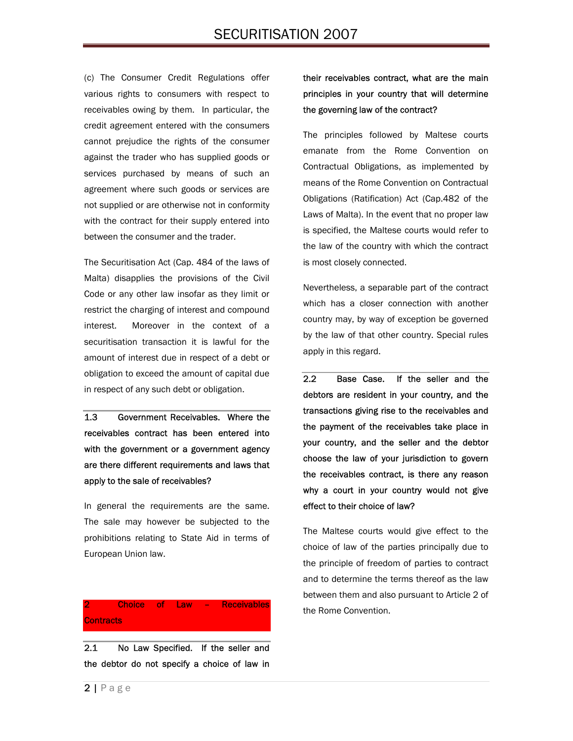(c) The Consumer Credit Regulations offer various rights to consumers with respect to receivables owing by them. In particular, the credit agreement entered with the consumers cannot prejudice the rights of the consumer against the trader who has supplied goods or services purchased by means of such an agreement where such goods or services are not supplied or are otherwise not in conformity with the contract for their supply entered into between the consumer and the trader.

The Securitisation Act (Cap. 484 of the laws of Malta) disapplies the provisions of the Civil Code or any other law insofar as they limit or restrict the charging of interest and compound interest. Moreover in the context of a securitisation transaction it is lawful for the amount of interest due in respect of a debt or obligation to exceed the amount of capital due in respect of any such debt or obligation.

1.3 Government Receivables. Where the receivables contract has been entered into with the government or a government agency are there different requirements and laws that apply to the sale of receivables?

In general the requirements are the same. The sale may however be subjected to the prohibitions relating to State Aid in terms of European Union law.

2 Choice of Law – Receivables **Contracts** 

2.1 No Law Specified. If the seller and the debtor do not specify a choice of law in

their receivables contract, what are the main principles in your country that will determine the governing law of the contract?

The principles followed by Maltese courts emanate from the Rome Convention on Contractual Obligations, as implemented by means of the Rome Convention on Contractual Obligations (Ratification) Act (Cap.482 of the Laws of Malta). In the event that no proper law is specified, the Maltese courts would refer to the law of the country with which the contract is most closely connected.

Nevertheless, a separable part of the contract which has a closer connection with another country may, by way of exception be governed by the law of that other country. Special rules apply in this regard.

2.2 Base Case. If the seller and the debtors are resident in your country, and the transactions giving rise to the receivables and the payment of the receivables take place in your country, and the seller and the debtor choose the law of your jurisdiction to govern the receivables contract, is there any reason why a court in your country would not give effect to their choice of law?

The Maltese courts would give effect to the choice of law of the parties principally due to the principle of freedom of parties to contract and to determine the terms thereof as the law between them and also pursuant to Article 2 of the Rome Convention.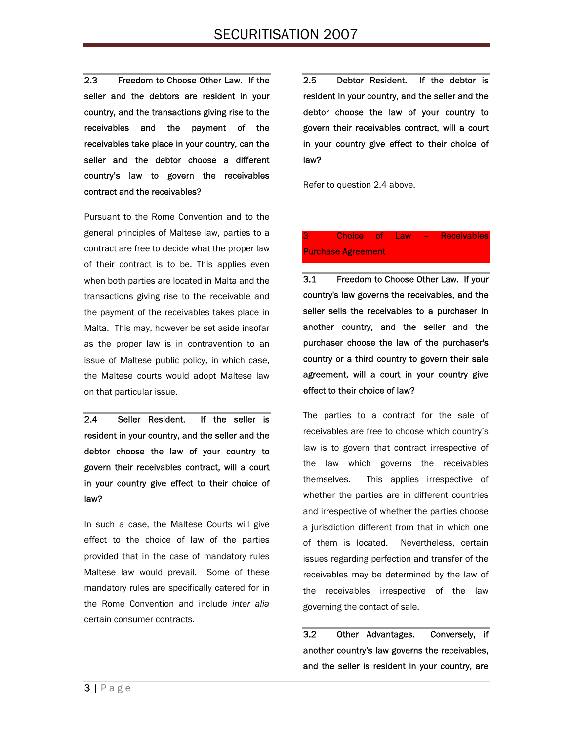2.3 Freedom to Choose Other Law. If the seller and the debtors are resident in your country, and the transactions giving rise to the receivables and the payment of the receivables take place in your country, can the seller and the debtor choose a different country's law to govern the receivables contract and the receivables?

Pursuant to the Rome Convention and to the general principles of Maltese law, parties to a contract are free to decide what the proper law of their contract is to be. This applies even when both parties are located in Malta and the transactions giving rise to the receivable and the payment of the receivables takes place in Malta. This may, however be set aside insofar as the proper law is in contravention to an issue of Maltese public policy, in which case, the Maltese courts would adopt Maltese law on that particular issue.

2.4 Seller Resident. If the seller is resident in your country, and the seller and the debtor choose the law of your country to govern their receivables contract, will a court in your country give effect to their choice of law?

In such a case, the Maltese Courts will give effect to the choice of law of the parties provided that in the case of mandatory rules Maltese law would prevail. Some of these mandatory rules are specifically catered for in the Rome Convention and include *inter alia*  certain consumer contracts.

2.5 Debtor Resident. If the debtor is resident in your country, and the seller and the debtor choose the law of your country to govern their receivables contract, will a court in your country give effect to their choice of law?

Refer to question 2.4 above.

### Choice of Law - Receivables Purchase Agreement

3.1 Freedom to Choose Other Law. If your country's law governs the receivables, and the seller sells the receivables to a purchaser in another country, and the seller and the purchaser choose the law of the purchaser's country or a third country to govern their sale agreement, will a court in your country give effect to their choice of law?

The parties to a contract for the sale of receivables are free to choose which country's law is to govern that contract irrespective of the law which governs the receivables themselves. This applies irrespective of whether the parties are in different countries and irrespective of whether the parties choose a jurisdiction different from that in which one of them is located. Nevertheless, certain issues regarding perfection and transfer of the receivables may be determined by the law of the receivables irrespective of the law governing the contact of sale.

3.2 Other Advantages. Conversely, if another country's law governs the receivables, and the seller is resident in your country, are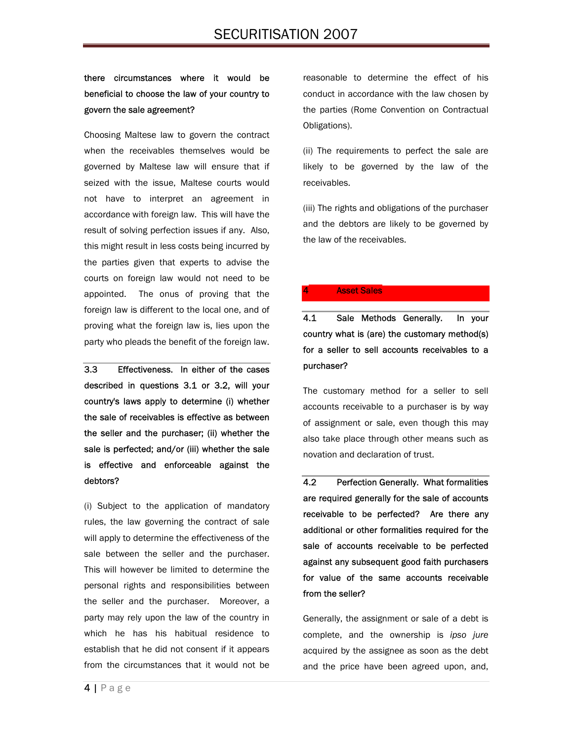### there circumstances where it would be beneficial to choose the law of your country to govern the sale agreement?

Choosing Maltese law to govern the contract when the receivables themselves would be governed by Maltese law will ensure that if seized with the issue, Maltese courts would not have to interpret an agreement in accordance with foreign law. This will have the result of solving perfection issues if any. Also, this might result in less costs being incurred by the parties given that experts to advise the courts on foreign law would not need to be appointed. The onus of proving that the foreign law is different to the local one, and of proving what the foreign law is, lies upon the party who pleads the benefit of the foreign law.

3.3 Effectiveness. In either of the cases described in questions 3.1 or 3.2, will your country's laws apply to determine (i) whether the sale of receivables is effective as between the seller and the purchaser; (ii) whether the sale is perfected; and/or (iii) whether the sale is effective and enforceable against the debtors?

(i) Subject to the application of mandatory rules, the law governing the contract of sale will apply to determine the effectiveness of the sale between the seller and the purchaser. This will however be limited to determine the personal rights and responsibilities between the seller and the purchaser. Moreover, a party may rely upon the law of the country in which he has his habitual residence to establish that he did not consent if it appears from the circumstances that it would not be

reasonable to determine the effect of his conduct in accordance with the law chosen by the parties (Rome Convention on Contractual Obligations).

(ii) The requirements to perfect the sale are likely to be governed by the law of the receivables.

(iii) The rights and obligations of the purchaser and the debtors are likely to be governed by the law of the receivables.

#### **Asset Sales**

4.1 Sale Methods Generally. In your country what is (are) the customary method(s) for a seller to sell accounts receivables to a purchaser?

The customary method for a seller to sell accounts receivable to a purchaser is by way of assignment or sale, even though this may also take place through other means such as novation and declaration of trust.

4.2 Perfection Generally. What formalities are required generally for the sale of accounts receivable to be perfected? Are there any additional or other formalities required for the sale of accounts receivable to be perfected against any subsequent good faith purchasers for value of the same accounts receivable from the seller?

Generally, the assignment or sale of a debt is complete, and the ownership is *ipso jure*  acquired by the assignee as soon as the debt and the price have been agreed upon, and,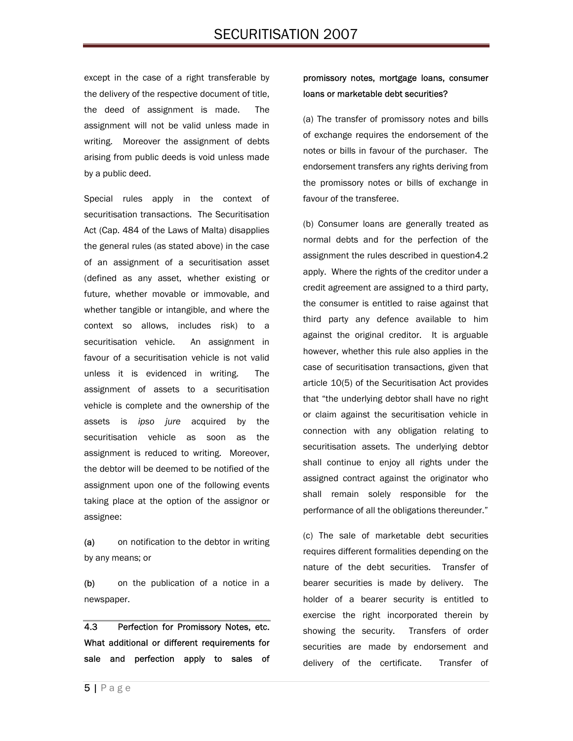except in the case of a right transferable by the delivery of the respective document of title, the deed of assignment is made. The assignment will not be valid unless made in writing. Moreover the assignment of debts arising from public deeds is void unless made by a public deed.

Special rules apply in the context of securitisation transactions. The Securitisation Act (Cap. 484 of the Laws of Malta) disapplies the general rules (as stated above) in the case of an assignment of a securitisation asset (defined as any asset, whether existing or future, whether movable or immovable, and whether tangible or intangible, and where the context so allows, includes risk) to a securitisation vehicle. An assignment in favour of a securitisation vehicle is not valid unless it is evidenced in writing. The assignment of assets to a securitisation vehicle is complete and the ownership of the assets is *ipso jure* acquired by the securitisation vehicle as soon as the assignment is reduced to writing. Moreover, the debtor will be deemed to be notified of the assignment upon one of the following events taking place at the option of the assignor or assignee:

(a) on notification to the debtor in writing by any means; or

(b) on the publication of a notice in a newspaper.

4.3 Perfection for Promissory Notes, etc. What additional or different requirements for sale and perfection apply to sales of

### promissory notes, mortgage loans, consumer loans or marketable debt securities?

(a) The transfer of promissory notes and bills of exchange requires the endorsement of the notes or bills in favour of the purchaser. The endorsement transfers any rights deriving from the promissory notes or bills of exchange in favour of the transferee.

(b) Consumer loans are generally treated as normal debts and for the perfection of the assignment the rules described in question4.2 apply. Where the rights of the creditor under a credit agreement are assigned to a third party, the consumer is entitled to raise against that third party any defence available to him against the original creditor. It is arguable however, whether this rule also applies in the case of securitisation transactions, given that article 10(5) of the Securitisation Act provides that "the underlying debtor shall have no right or claim against the securitisation vehicle in connection with any obligation relating to securitisation assets. The underlying debtor shall continue to enjoy all rights under the assigned contract against the originator who shall remain solely responsible for the performance of all the obligations thereunder."

(c) The sale of marketable debt securities requires different formalities depending on the nature of the debt securities. Transfer of bearer securities is made by delivery. The holder of a bearer security is entitled to exercise the right incorporated therein by showing the security. Transfers of order securities are made by endorsement and delivery of the certificate. Transfer of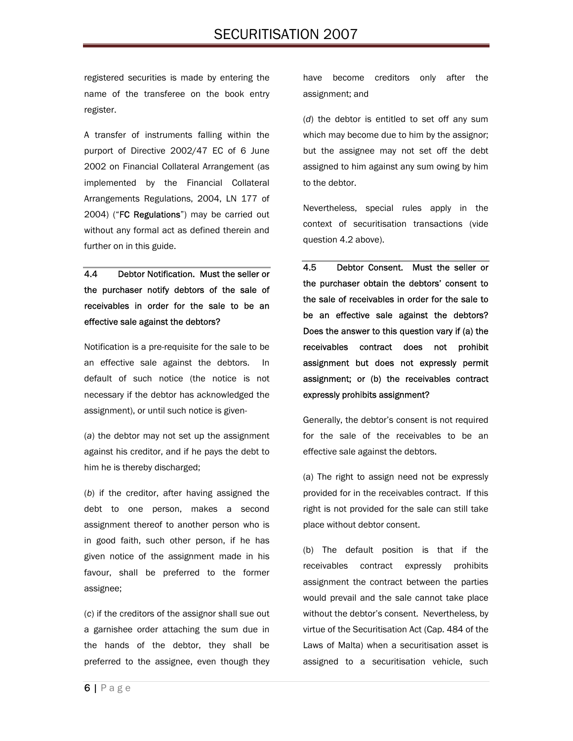registered securities is made by entering the name of the transferee on the book entry register.

A transfer of instruments falling within the purport of Directive 2002/47 EC of 6 June 2002 on Financial Collateral Arrangement (as implemented by the Financial Collateral Arrangements Regulations, 2004, LN 177 of 2004) ("FC Regulations") may be carried out without any formal act as defined therein and further on in this guide.

4.4 Debtor Notification. Must the seller or the purchaser notify debtors of the sale of receivables in order for the sale to be an effective sale against the debtors?

Notification is a pre-requisite for the sale to be an effective sale against the debtors. In default of such notice (the notice is not necessary if the debtor has acknowledged the assignment), or until such notice is given-

(*a*) the debtor may not set up the assignment against his creditor, and if he pays the debt to him he is thereby discharged;

(*b*) if the creditor, after having assigned the debt to one person, makes a second assignment thereof to another person who is in good faith, such other person, if he has given notice of the assignment made in his favour, shall be preferred to the former assignee;

(*c*) if the creditors of the assignor shall sue out a garnishee order attaching the sum due in the hands of the debtor, they shall be preferred to the assignee, even though they have become creditors only after the assignment; and

(*d*) the debtor is entitled to set off any sum which may become due to him by the assignor; but the assignee may not set off the debt assigned to him against any sum owing by him to the debtor.

Nevertheless, special rules apply in the context of securitisation transactions (vide question 4.2 above).

4.5 Debtor Consent. Must the seller or the purchaser obtain the debtors' consent to the sale of receivables in order for the sale to be an effective sale against the debtors? Does the answer to this question vary if (a) the receivables contract does not prohibit assignment but does not expressly permit assignment; or (b) the receivables contract expressly prohibits assignment?

Generally, the debtor's consent is not required for the sale of the receivables to be an effective sale against the debtors.

(a) The right to assign need not be expressly provided for in the receivables contract. If this right is not provided for the sale can still take place without debtor consent.

(b) The default position is that if the receivables contract expressly prohibits assignment the contract between the parties would prevail and the sale cannot take place without the debtor's consent. Nevertheless, by virtue of the Securitisation Act (Cap. 484 of the Laws of Malta) when a securitisation asset is assigned to a securitisation vehicle, such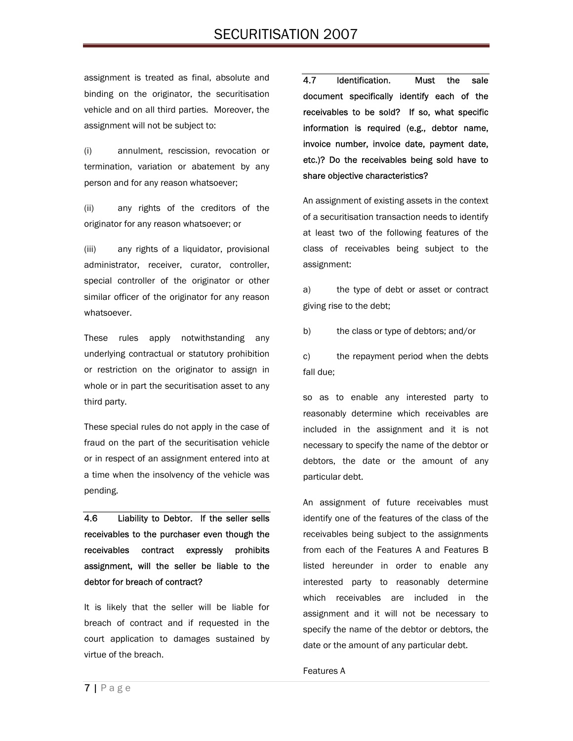assignment is treated as final, absolute and binding on the originator, the securitisation vehicle and on all third parties. Moreover, the assignment will not be subject to:

(i) annulment, rescission, revocation or termination, variation or abatement by any person and for any reason whatsoever;

(ii) any rights of the creditors of the originator for any reason whatsoever; or

(iii) any rights of a liquidator, provisional administrator, receiver, curator, controller, special controller of the originator or other similar officer of the originator for any reason whatsoever.

These rules apply notwithstanding any underlying contractual or statutory prohibition or restriction on the originator to assign in whole or in part the securitisation asset to any third party.

These special rules do not apply in the case of fraud on the part of the securitisation vehicle or in respect of an assignment entered into at a time when the insolvency of the vehicle was pending.

4.6 Liability to Debtor. If the seller sells receivables to the purchaser even though the receivables contract expressly prohibits assignment, will the seller be liable to the debtor for breach of contract?

It is likely that the seller will be liable for breach of contract and if requested in the court application to damages sustained by virtue of the breach.

4.7 Identification. Must the sale document specifically identify each of the receivables to be sold? If so, what specific information is required (e.g., debtor name, invoice number, invoice date, payment date, etc.)? Do the receivables being sold have to share objective characteristics?

An assignment of existing assets in the context of a securitisation transaction needs to identify at least two of the following features of the class of receivables being subject to the assignment:

a) the type of debt or asset or contract giving rise to the debt;

b) the class or type of debtors; and/or

c) the repayment period when the debts fall due;

so as to enable any interested party to reasonably determine which receivables are included in the assignment and it is not necessary to specify the name of the debtor or debtors, the date or the amount of any particular debt.

An assignment of future receivables must identify one of the features of the class of the receivables being subject to the assignments from each of the Features A and Features B listed hereunder in order to enable any interested party to reasonably determine which receivables are included in the assignment and it will not be necessary to specify the name of the debtor or debtors, the date or the amount of any particular debt.

#### Features A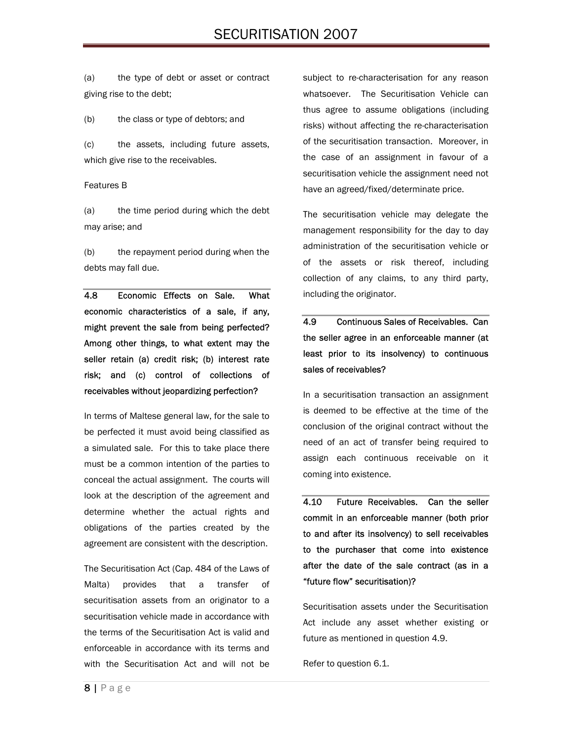(a) the type of debt or asset or contract giving rise to the debt;

(b) the class or type of debtors; and

(c) the assets, including future assets, which give rise to the receivables.

#### Features B

(a) the time period during which the debt may arise; and

(b) the repayment period during when the debts may fall due.

4.8 Economic Effects on Sale. What economic characteristics of a sale, if any, might prevent the sale from being perfected? Among other things, to what extent may the seller retain (a) credit risk; (b) interest rate risk; and (c) control of collections of receivables without jeopardizing perfection?

In terms of Maltese general law, for the sale to be perfected it must avoid being classified as a simulated sale. For this to take place there must be a common intention of the parties to conceal the actual assignment. The courts will look at the description of the agreement and determine whether the actual rights and obligations of the parties created by the agreement are consistent with the description.

The Securitisation Act (Cap. 484 of the Laws of Malta) provides that a transfer of securitisation assets from an originator to a securitisation vehicle made in accordance with the terms of the Securitisation Act is valid and enforceable in accordance with its terms and with the Securitisation Act and will not be

subject to re-characterisation for any reason whatsoever. The Securitisation Vehicle can thus agree to assume obligations (including risks) without affecting the re-characterisation of the securitisation transaction. Moreover, in the case of an assignment in favour of a securitisation vehicle the assignment need not have an agreed/fixed/determinate price.

The securitisation vehicle may delegate the management responsibility for the day to day administration of the securitisation vehicle or of the assets or risk thereof, including collection of any claims, to any third party, including the originator.

# 4.9 Continuous Sales of Receivables. Can the seller agree in an enforceable manner (at least prior to its insolvency) to continuous sales of receivables?

In a securitisation transaction an assignment is deemed to be effective at the time of the conclusion of the original contract without the need of an act of transfer being required to assign each continuous receivable on it coming into existence.

4.10 Future Receivables. Can the seller commit in an enforceable manner (both prior to and after its insolvency) to sell receivables to the purchaser that come into existence after the date of the sale contract (as in a "future flow" securitisation)?

Securitisation assets under the Securitisation Act include any asset whether existing or future as mentioned in question 4.9.

Refer to question 6.1.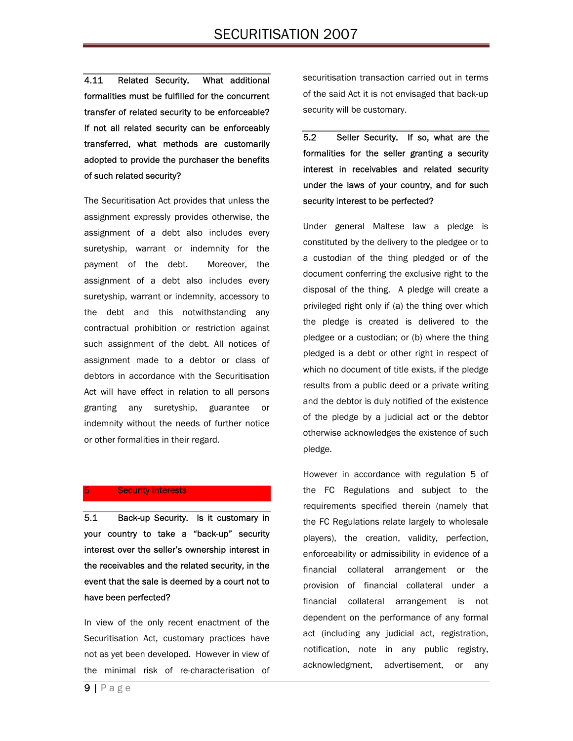# SECURITISATION 2007

4.11 Related Security. What additional formalities must be fulfilled for the concurrent transfer of related security to be enforceable? If not all related security can be enforceably transferred, what methods are customarily adopted to provide the purchaser the benefits of such related security?

The Securitisation Act provides that unless the assignment expressly provides otherwise, the assignment of a debt also includes every suretyship, warrant or indemnity for the payment of the debt. Moreover, the assignment of a debt also includes every suretyship, warrant or indemnity, accessory to the debt and this notwithstanding any contractual prohibition or restriction against such assignment of the debt. All notices of assignment made to a debtor or class of debtors in accordance with the Securitisation Act will have effect in relation to all persons granting any suretyship, guarantee or indemnity without the needs of further notice or other formalities in their regard.

#### **Security Interests**

5.1 Back-up Security. Is it customary in your country to take a "back-up" security interest over the seller's ownership interest in the receivables and the related security, in the event that the sale is deemed by a court not to have been perfected?

In view of the only recent enactment of the Securitisation Act, customary practices have not as yet been developed. However in view of the minimal risk of re-characterisation of securitisation transaction carried out in terms of the said Act it is not envisaged that back-up security will be customary.

5.2 Seller Security. If so, what are the formalities for the seller granting a security interest in receivables and related security under the laws of your country, and for such security interest to be perfected?

Under general Maltese law a pledge is constituted by the delivery to the pledgee or to a custodian of the thing pledged or of the document conferring the exclusive right to the disposal of the thing. A pledge will create a privileged right only if (a) the thing over which the pledge is created is delivered to the pledgee or a custodian; or (b) where the thing pledged is a debt or other right in respect of which no document of title exists, if the pledge results from a public deed or a private writing and the debtor is duly notified of the existence of the pledge by a judicial act or the debtor otherwise acknowledges the existence of such pledge.

However in accordance with regulation 5 of the FC Regulations and subject to the requirements specified therein (namely that the FC Regulations relate largely to wholesale players), the creation, validity, perfection, enforceability or admissibility in evidence of a financial collateral arrangement or the provision of financial collateral under a financial collateral arrangement is not dependent on the performance of any formal act (including any judicial act, registration, notification, note in any public registry, acknowledgment, advertisement, or any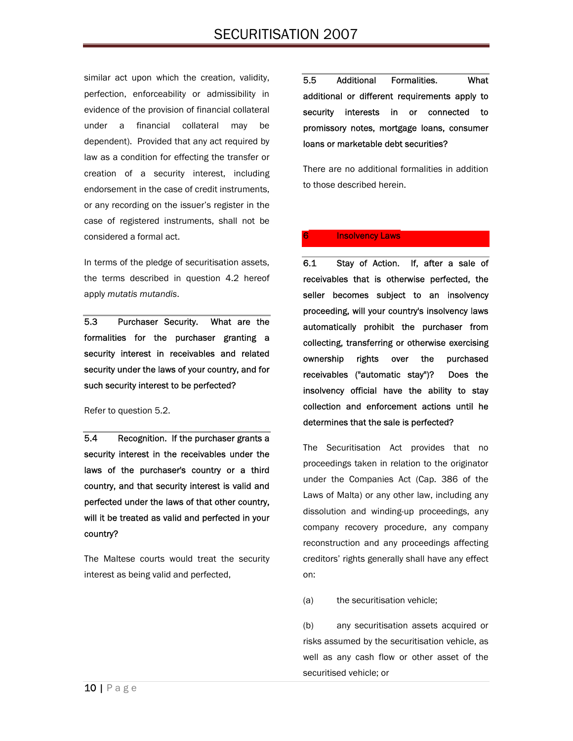similar act upon which the creation, validity, perfection, enforceability or admissibility in evidence of the provision of financial collateral under a financial collateral may be dependent). Provided that any act required by law as a condition for effecting the transfer or creation of a security interest, including endorsement in the case of credit instruments, or any recording on the issuer's register in the case of registered instruments, shall not be considered a formal act.

In terms of the pledge of securitisation assets, the terms described in question 4.2 hereof apply *mutatis mutandis*.

5.3 Purchaser Security. What are the formalities for the purchaser granting a security interest in receivables and related security under the laws of your country, and for such security interest to be perfected?

Refer to question 5.2.

5.4 Recognition. If the purchaser grants a security interest in the receivables under the laws of the purchaser's country or a third country, and that security interest is valid and perfected under the laws of that other country, will it be treated as valid and perfected in your country?

The Maltese courts would treat the security interest as being valid and perfected,

5.5 Additional Formalities. What additional or different requirements apply to security interests in or connected to promissory notes, mortgage loans, consumer loans or marketable debt securities?

There are no additional formalities in addition to those described herein.

#### **Insolvency Laws**

6.1 Stay of Action. If, after a sale of receivables that is otherwise perfected, the seller becomes subject to an insolvency proceeding, will your country's insolvency laws automatically prohibit the purchaser from collecting, transferring or otherwise exercising ownership rights over the purchased receivables ("automatic stay")? Does the insolvency official have the ability to stay collection and enforcement actions until he determines that the sale is perfected?

The Securitisation Act provides that no proceedings taken in relation to the originator under the Companies Act (Cap. 386 of the Laws of Malta) or any other law, including any dissolution and winding-up proceedings, any company recovery procedure, any company reconstruction and any proceedings affecting creditors' rights generally shall have any effect on:

(a) the securitisation vehicle;

(b) any securitisation assets acquired or risks assumed by the securitisation vehicle, as well as any cash flow or other asset of the securitised vehicle; or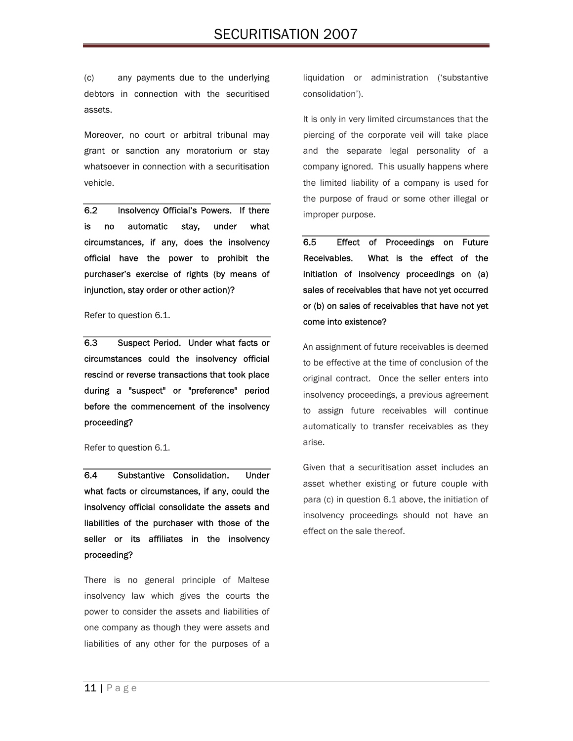(c) any payments due to the underlying debtors in connection with the securitised assets.

Moreover, no court or arbitral tribunal may grant or sanction any moratorium or stay whatsoever in connection with a securitisation vehicle.

6.2 Insolvency Official's Powers. If there is no automatic stay, under what circumstances, if any, does the insolvency official have the power to prohibit the purchaser's exercise of rights (by means of injunction, stay order or other action)?

#### Refer to question 6.1.

6.3 Suspect Period. Under what facts or circumstances could the insolvency official rescind or reverse transactions that took place during a "suspect" or "preference" period before the commencement of the insolvency proceeding?

#### Refer to question 6.1.

6.4 Substantive Consolidation. Under what facts or circumstances, if any, could the insolvency official consolidate the assets and liabilities of the purchaser with those of the seller or its affiliates in the insolvency proceeding?

There is no general principle of Maltese insolvency law which gives the courts the power to consider the assets and liabilities of one company as though they were assets and liabilities of any other for the purposes of a liquidation or administration ('substantive consolidation').

It is only in very limited circumstances that the piercing of the corporate veil will take place and the separate legal personality of a company ignored. This usually happens where the limited liability of a company is used for the purpose of fraud or some other illegal or improper purpose.

6.5 Effect of Proceedings on Future Receivables. What is the effect of the initiation of insolvency proceedings on (a) sales of receivables that have not yet occurred or (b) on sales of receivables that have not yet come into existence?

An assignment of future receivables is deemed to be effective at the time of conclusion of the original contract. Once the seller enters into insolvency proceedings, a previous agreement to assign future receivables will continue automatically to transfer receivables as they arise.

Given that a securitisation asset includes an asset whether existing or future couple with para (c) in question 6.1 above, the initiation of insolvency proceedings should not have an effect on the sale thereof.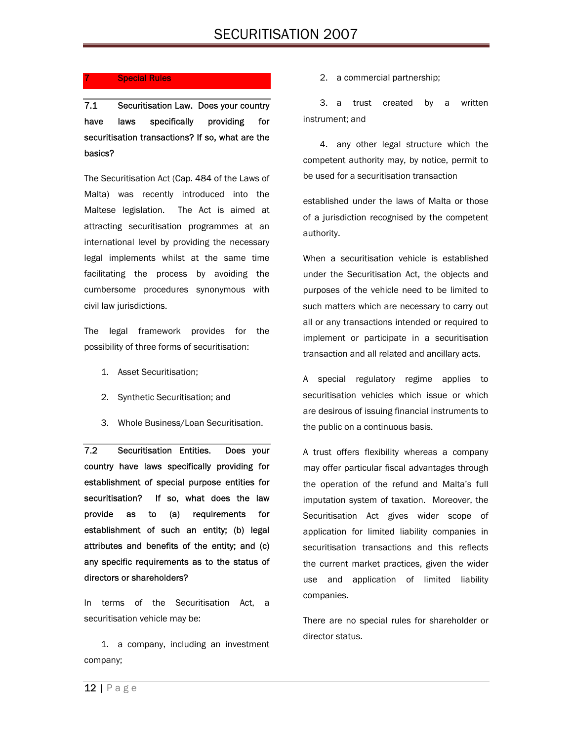#### **Special Rules**

7.1 Securitisation Law. Does your country have laws specifically providing for securitisation transactions? If so, what are the basics?

The Securitisation Act (Cap. 484 of the Laws of Malta) was recently introduced into the Maltese legislation. The Act is aimed at attracting securitisation programmes at an international level by providing the necessary legal implements whilst at the same time facilitating the process by avoiding the cumbersome procedures synonymous with civil law jurisdictions.

The legal framework provides for the possibility of three forms of securitisation:

- 1. Asset Securitisation;
- 2. Synthetic Securitisation; and
- 3. Whole Business/Loan Securitisation.

7.2 Securitisation Entities. Does your country have laws specifically providing for establishment of special purpose entities for securitisation? If so, what does the law provide as to (a) requirements for establishment of such an entity; (b) legal attributes and benefits of the entity; and (c) any specific requirements as to the status of directors or shareholders?

In terms of the Securitisation Act, a securitisation vehicle may be:

1. a company, including an investment company;

2. a commercial partnership;

3. a trust created by a written instrument; and

4. any other legal structure which the competent authority may, by notice, permit to be used for a securitisation transaction

established under the laws of Malta or those of a jurisdiction recognised by the competent authority.

When a securitisation vehicle is established under the Securitisation Act, the objects and purposes of the vehicle need to be limited to such matters which are necessary to carry out all or any transactions intended or required to implement or participate in a securitisation transaction and all related and ancillary acts.

A special regulatory regime applies to securitisation vehicles which issue or which are desirous of issuing financial instruments to the public on a continuous basis.

A trust offers flexibility whereas a company may offer particular fiscal advantages through the operation of the refund and Malta's full imputation system of taxation. Moreover, the Securitisation Act gives wider scope of application for limited liability companies in securitisation transactions and this reflects the current market practices, given the wider use and application of limited liability companies.

There are no special rules for shareholder or director status.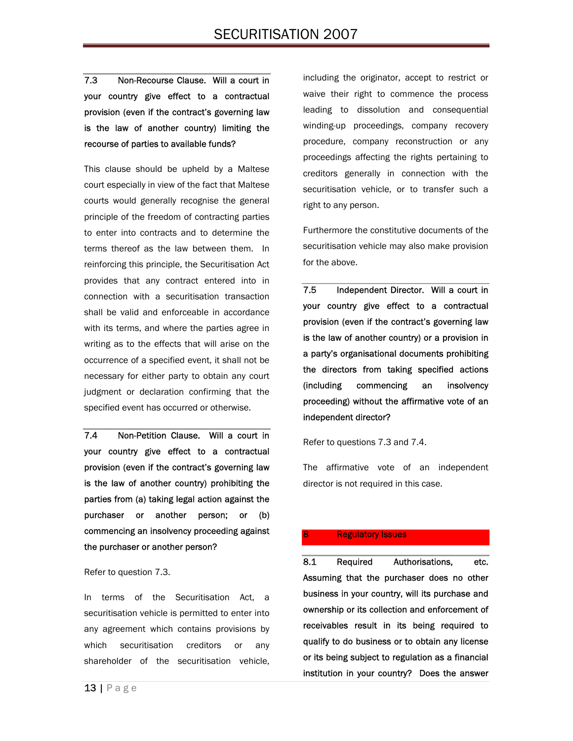7.3 Non-Recourse Clause. Will a court in your country give effect to a contractual provision (even if the contract's governing law is the law of another country) limiting the recourse of parties to available funds?

This clause should be upheld by a Maltese court especially in view of the fact that Maltese courts would generally recognise the general principle of the freedom of contracting parties to enter into contracts and to determine the terms thereof as the law between them. In reinforcing this principle, the Securitisation Act provides that any contract entered into in connection with a securitisation transaction shall be valid and enforceable in accordance with its terms, and where the parties agree in writing as to the effects that will arise on the occurrence of a specified event, it shall not be necessary for either party to obtain any court judgment or declaration confirming that the specified event has occurred or otherwise.

7.4 Non-Petition Clause. Will a court in your country give effect to a contractual provision (even if the contract's governing law is the law of another country) prohibiting the parties from (a) taking legal action against the purchaser or another person; or (b) commencing an insolvency proceeding against the purchaser or another person?

Refer to question 7.3.

In terms of the Securitisation Act, a securitisation vehicle is permitted to enter into any agreement which contains provisions by which securitisation creditors or any shareholder of the securitisation vehicle,

including the originator, accept to restrict or waive their right to commence the process leading to dissolution and consequential winding-up proceedings, company recovery procedure, company reconstruction or any proceedings affecting the rights pertaining to creditors generally in connection with the securitisation vehicle, or to transfer such a right to any person.

Furthermore the constitutive documents of the securitisation vehicle may also make provision for the above.

7.5 Independent Director. Will a court in your country give effect to a contractual provision (even if the contract's governing law is the law of another country) or a provision in a party's organisational documents prohibiting the directors from taking specified actions (including commencing an insolvency proceeding) without the affirmative vote of an independent director?

Refer to questions 7.3 and 7.4.

The affirmative vote of an independent director is not required in this case.

#### **Regulatory Issues**

8.1 Required Authorisations, etc. Assuming that the purchaser does no other business in your country, will its purchase and ownership or its collection and enforcement of receivables result in its being required to qualify to do business or to obtain any license or its being subject to regulation as a financial institution in your country? Does the answer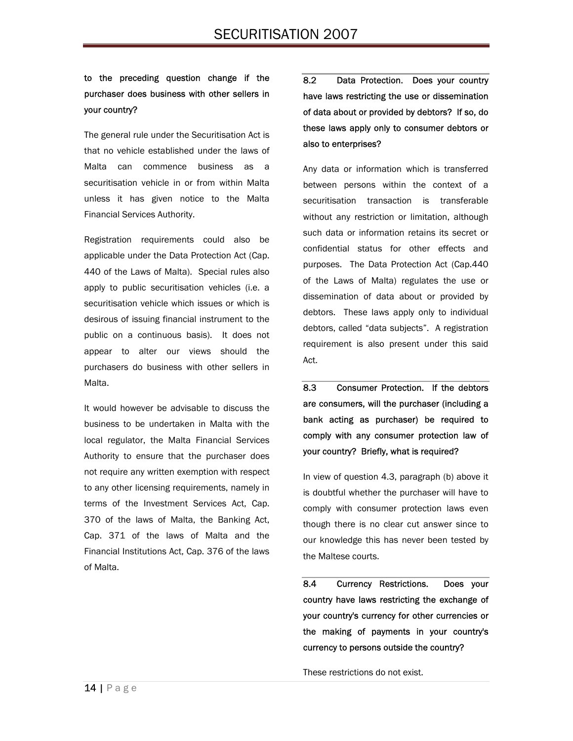## to the preceding question change if the purchaser does business with other sellers in your country?

The general rule under the Securitisation Act is that no vehicle established under the laws of Malta can commence business as a securitisation vehicle in or from within Malta unless it has given notice to the Malta Financial Services Authority.

Registration requirements could also be applicable under the Data Protection Act (Cap. 440 of the Laws of Malta). Special rules also apply to public securitisation vehicles (i.e. a securitisation vehicle which issues or which is desirous of issuing financial instrument to the public on a continuous basis). It does not appear to alter our views should the purchasers do business with other sellers in Malta.

It would however be advisable to discuss the business to be undertaken in Malta with the local regulator, the Malta Financial Services Authority to ensure that the purchaser does not require any written exemption with respect to any other licensing requirements, namely in terms of the Investment Services Act, Cap. 370 of the laws of Malta, the Banking Act, Cap. 371 of the laws of Malta and the Financial Institutions Act, Cap. 376 of the laws of Malta.

8.2 Data Protection. Does your country have laws restricting the use or dissemination of data about or provided by debtors? If so, do these laws apply only to consumer debtors or also to enterprises?

Any data or information which is transferred between persons within the context of a securitisation transaction is transferable without any restriction or limitation, although such data or information retains its secret or confidential status for other effects and purposes. The Data Protection Act (Cap.440 of the Laws of Malta) regulates the use or dissemination of data about or provided by debtors. These laws apply only to individual debtors, called "data subjects". A registration requirement is also present under this said Act.

8.3 Consumer Protection. If the debtors are consumers, will the purchaser (including a bank acting as purchaser) be required to comply with any consumer protection law of your country? Briefly, what is required?

In view of question 4.3, paragraph (b) above it is doubtful whether the purchaser will have to comply with consumer protection laws even though there is no clear cut answer since to our knowledge this has never been tested by the Maltese courts.

8.4 Currency Restrictions. Does your country have laws restricting the exchange of your country's currency for other currencies or the making of payments in your country's currency to persons outside the country?

These restrictions do not exist.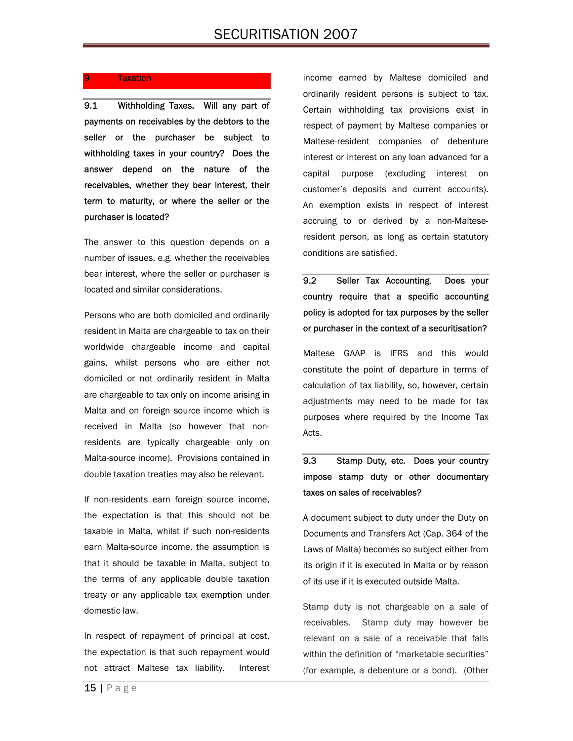### **Taxation**

9.1 Withholding Taxes. Will any part of payments on receivables by the debtors to the seller or the purchaser be subject to withholding taxes in your country? Does the answer depend on the nature of the receivables, whether they bear interest, their term to maturity, or where the seller or the purchaser is located?

The answer to this question depends on a number of issues, e.g. whether the receivables bear interest, where the seller or purchaser is located and similar considerations.

Persons who are both domiciled and ordinarily resident in Malta are chargeable to tax on their worldwide chargeable income and capital gains, whilst persons who are either not domiciled or not ordinarily resident in Malta are chargeable to tax only on income arising in Malta and on foreign source income which is received in Malta (so however that nonresidents are typically chargeable only on Malta-source income). Provisions contained in double taxation treaties may also be relevant.

If non-residents earn foreign source income, the expectation is that this should not be taxable in Malta, whilst if such non-residents earn Malta-source income, the assumption is that it should be taxable in Malta, subject to the terms of any applicable double taxation treaty or any applicable tax exemption under domestic law.

In respect of repayment of principal at cost, the expectation is that such repayment would not attract Maltese tax liability. Interest income earned by Maltese domiciled and ordinarily resident persons is subject to tax. Certain withholding tax provisions exist in respect of payment by Maltese companies or Maltese-resident companies of debenture interest or interest on any loan advanced for a capital purpose (excluding interest on customer's deposits and current accounts). An exemption exists in respect of interest accruing to or derived by a non-Malteseresident person, as long as certain statutory conditions are satisfied.

9.2 Seller Tax Accounting. Does your country require that a specific accounting policy is adopted for tax purposes by the seller or purchaser in the context of a securitisation?

Maltese GAAP is IFRS and this would constitute the point of departure in terms of calculation of tax liability, so, however, certain adjustments may need to be made for tax purposes where required by the Income Tax Acts.

## 9.3 Stamp Duty, etc. Does your country impose stamp duty or other documentary taxes on sales of receivables?

A document subject to duty under the Duty on Documents and Transfers Act (Cap. 364 of the Laws of Malta) becomes so subject either from its origin if it is executed in Malta or by reason of its use if it is executed outside Malta.

Stamp duty is not chargeable on a sale of receivables. Stamp duty may however be relevant on a sale of a receivable that falls within the definition of "marketable securities" (for example, a debenture or a bond). (Other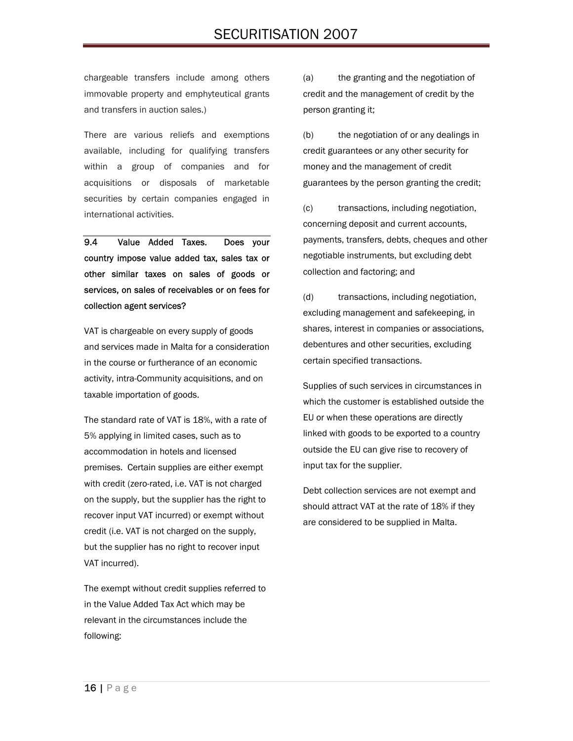# SECURITISATION 2007

chargeable transfers include among others immovable property and emphyteutical grants and transfers in auction sales.)

There are various reliefs and exemptions available, including for qualifying transfers within a group of companies and for acquisitions or disposals of marketable securities by certain companies engaged in international activities.

9.4 Value Added Taxes. Does your country impose value added tax, sales tax or other similar taxes on sales of goods or services, on sales of receivables or on fees for collection agent services?

VAT is chargeable on every supply of goods and services made in Malta for a consideration in the course or furtherance of an economic activity, intra-Community acquisitions, and on taxable importation of goods.

The standard rate of VAT is 18%, with a rate of 5% applying in limited cases, such as to accommodation in hotels and licensed premises. Certain supplies are either exempt with credit (zero-rated, i.e. VAT is not charged on the supply, but the supplier has the right to recover input VAT incurred) or exempt without credit (i.e. VAT is not charged on the supply, but the supplier has no right to recover input VAT incurred).

The exempt without credit supplies referred to in the Value Added Tax Act which may be relevant in the circumstances include the following:

(a) the granting and the negotiation of credit and the management of credit by the person granting it;

(b) the negotiation of or any dealings in credit guarantees or any other security for money and the management of credit guarantees by the person granting the credit;

(c) transactions, including negotiation, concerning deposit and current accounts, payments, transfers, debts, cheques and other negotiable instruments, but excluding debt collection and factoring; and

(d) transactions, including negotiation, excluding management and safekeeping, in shares, interest in companies or associations, debentures and other securities, excluding certain specified transactions.

Supplies of such services in circumstances in which the customer is established outside the EU or when these operations are directly linked with goods to be exported to a country outside the EU can give rise to recovery of input tax for the supplier.

Debt collection services are not exempt and should attract VAT at the rate of 18% if they are considered to be supplied in Malta.